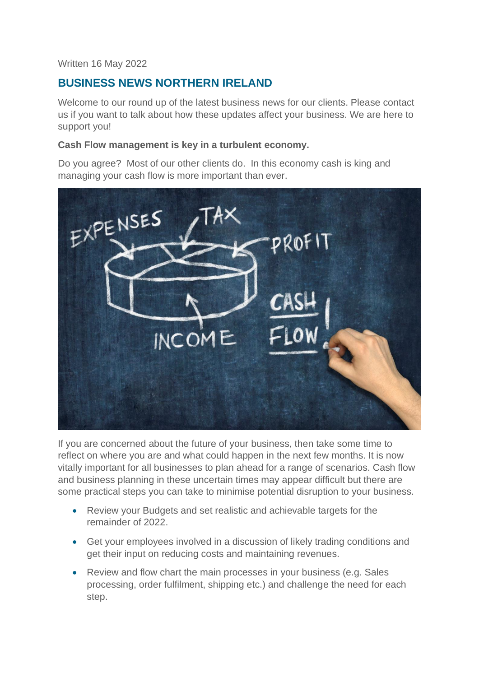#### Written 16 May 2022

# **BUSINESS NEWS NORTHERN IRELAND**

Welcome to our round up of the latest business news for our clients. Please contact us if you want to talk about how these updates affect your business. We are here to support you!

#### **Cash Flow management is key in a turbulent economy.**

Do you agree? Most of our other clients do. In this economy cash is king and managing your cash flow is more important than ever.



If you are concerned about the future of your business, then take some time to reflect on where you are and what could happen in the next few months. It is now vitally important for all businesses to plan ahead for a range of scenarios. Cash flow and business planning in these uncertain times may appear difficult but there are some practical steps you can take to minimise potential disruption to your business.

- Review your Budgets and set realistic and achievable targets for the remainder of 2022.
- Get your employees involved in a discussion of likely trading conditions and get their input on reducing costs and maintaining revenues.
- Review and flow chart the main processes in your business (e.g. Sales processing, order fulfilment, shipping etc.) and challenge the need for each step.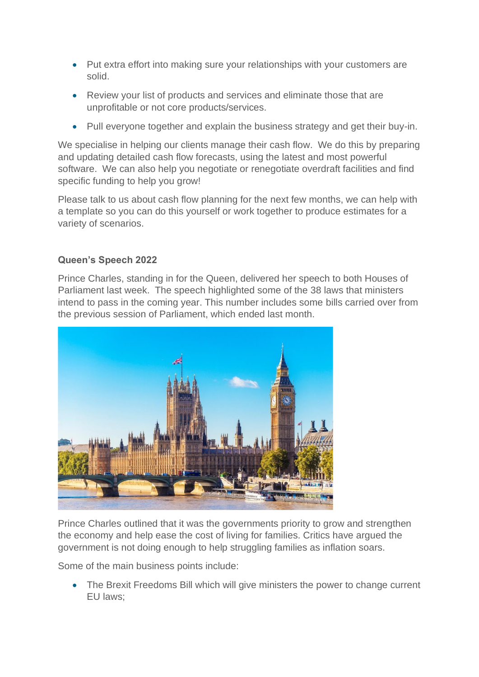- Put extra effort into making sure your relationships with your customers are solid.
- Review your list of products and services and eliminate those that are unprofitable or not core products/services.
- Pull everyone together and explain the business strategy and get their buy-in.

We specialise in helping our clients manage their cash flow. We do this by preparing and updating detailed cash flow forecasts, using the latest and most powerful software. We can also help you negotiate or renegotiate overdraft facilities and find specific funding to help you grow!

Please talk to us about cash flow planning for the next few months, we can help with a template so you can do this yourself or work together to produce estimates for a variety of scenarios.

# **Queen's Speech 2022**

Prince Charles, standing in for the Queen, delivered her speech to both Houses of Parliament last week. The speech highlighted some of the 38 laws that ministers intend to pass in the coming year. This number includes some bills carried over from the previous session of Parliament, which ended last month.



Prince Charles outlined that it was the governments priority to grow and strengthen the economy and help ease the cost of living for families. Critics have argued the government is not doing enough to help struggling families as inflation soars.

Some of the main business points include:

• The Brexit Freedoms Bill which will give ministers the power to change current EU laws;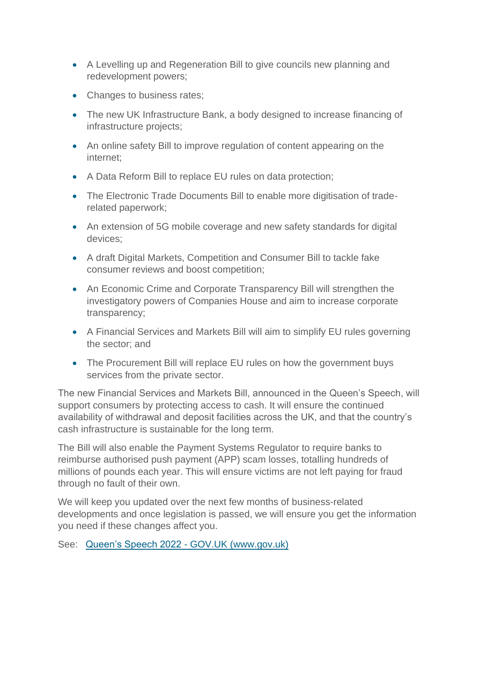- A Levelling up and Regeneration Bill to give councils new planning and redevelopment powers;
- Changes to business rates;
- The new UK Infrastructure Bank, a body designed to increase financing of infrastructure projects;
- An online safety Bill to improve regulation of content appearing on the internet;
- A Data Reform Bill to replace EU rules on data protection;
- The Electronic Trade Documents Bill to enable more digitisation of traderelated paperwork;
- An extension of 5G mobile coverage and new safety standards for digital devices;
- A draft Digital Markets, Competition and Consumer Bill to tackle fake consumer reviews and boost competition;
- An Economic Crime and Corporate Transparency Bill will strengthen the investigatory powers of Companies House and aim to increase corporate transparency;
- A Financial Services and Markets Bill will aim to simplify EU rules governing the sector; and
- The Procurement Bill will replace EU rules on how the government buys services from the private sector.

The new Financial Services and Markets Bill, announced in the Queen's Speech, will support consumers by protecting access to cash. It will ensure the continued availability of withdrawal and deposit facilities across the UK, and that the country's cash infrastructure is sustainable for the long term.

The Bill will also enable the Payment Systems Regulator to require banks to reimburse authorised push payment (APP) scam losses, totalling hundreds of millions of pounds each year. This will ensure victims are not left paying for fraud through no fault of their own.

We will keep you updated over the next few months of business-related developments and once legislation is passed, we will ensure you get the information you need if these changes affect you.

See: [Queen's Speech 2022 -](https://www.gov.uk/government/speeches/queens-speech-2022) GOV.UK (www.gov.uk)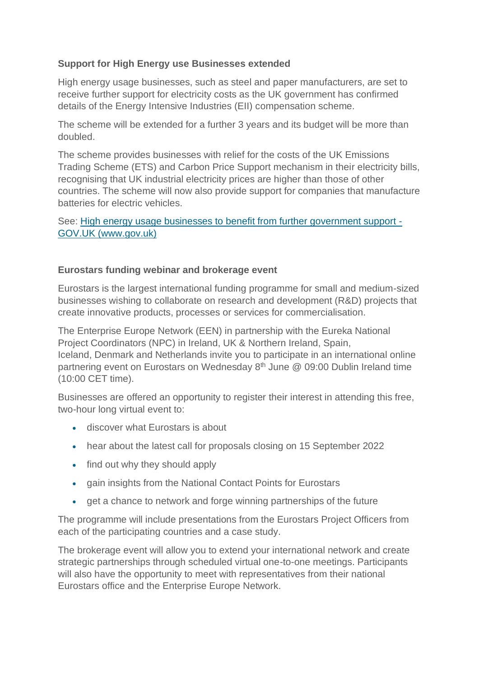# **Support for High Energy use Businesses extended**

High energy usage businesses, such as steel and paper manufacturers, are set to receive further support for electricity costs as the UK government has confirmed details of the Energy Intensive Industries (EII) compensation scheme.

The scheme will be extended for a further 3 years and its budget will be more than doubled.

The scheme provides businesses with relief for the costs of the UK Emissions Trading Scheme (ETS) and Carbon Price Support mechanism in their electricity bills, recognising that UK industrial electricity prices are higher than those of other countries. The scheme will now also provide support for companies that manufacture batteries for electric vehicles.

See: [High energy usage businesses to benefit from further government support -](https://www.gov.uk/government/news/high-energy-usage-businesses-to-benefit-from-further-government-support) [GOV.UK \(www.gov.uk\)](https://www.gov.uk/government/news/high-energy-usage-businesses-to-benefit-from-further-government-support)

## **Eurostars funding webinar and brokerage event**

Eurostars is the largest international funding programme for small and medium-sized businesses wishing to collaborate on research and development (R&D) projects that create innovative products, processes or services for commercialisation.

The Enterprise Europe Network (EEN) in partnership with the Eureka National Project Coordinators (NPC) in Ireland, UK & Northern Ireland, Spain, Iceland, Denmark and Netherlands invite you to participate in an international online partnering event on Eurostars on Wednesday  $8<sup>th</sup>$  June  $@$  09:00 Dublin Ireland time (10:00 CET time).

Businesses are offered an opportunity to register their interest in attending this free, two-hour long virtual event to:

- discover what Eurostars is about
- hear about the latest call for proposals closing on 15 September 2022
- find out why they should apply
- gain insights from the National Contact Points for Eurostars
- get a chance to network and forge winning partnerships of the future

The programme will include presentations from the Eurostars Project Officers from each of the participating countries and a case study.

The brokerage event will allow you to extend your international network and create strategic partnerships through scheduled virtual one-to-one meetings. Participants will also have the opportunity to meet with representatives from their national Eurostars office and the Enterprise Europe Network.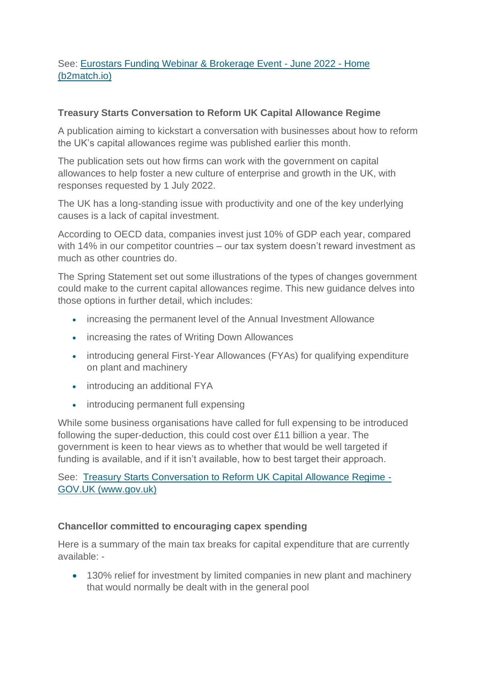## See: [Eurostars Funding Webinar & Brokerage Event -](https://eurostars-webinar-brokerage-event.b2match.io/home) June 2022 - Home [\(b2match.io\)](https://eurostars-webinar-brokerage-event.b2match.io/home)

## **Treasury Starts Conversation to Reform UK Capital Allowance Regime**

A publication aiming to kickstart a conversation with businesses about how to reform the UK's capital allowances regime was published earlier this month.

The publication sets out how firms can work with the government on capital allowances to help foster a new culture of enterprise and growth in the UK, with responses requested by 1 July 2022.

The UK has a long-standing issue with productivity and one of the key underlying causes is a lack of capital investment.

According to OECD data, companies invest just 10% of GDP each year, compared with 14% in our competitor countries – our tax system doesn't reward investment as much as other countries do.

The Spring Statement set out some illustrations of the types of changes government could make to the current capital allowances regime. This new guidance delves into those options in further detail, which includes:

- increasing the permanent level of the Annual Investment Allowance
- increasing the rates of Writing Down Allowances
- introducing general First-Year Allowances (FYAs) for qualifying expenditure on plant and machinery
- introducing an additional FYA
- introducing permanent full expensing

While some business organisations have called for full expensing to be introduced following the super-deduction, this could cost over £11 billion a year. The government is keen to hear views as to whether that would be well targeted if funding is available, and if it isn't available, how to best target their approach.

See: [Treasury Starts Conversation to Reform UK Capital Allowance Regime -](https://www.gov.uk/government/news/treasury-starts-conversation-to-reform-uk-capital-allowance-regime) [GOV.UK \(www.gov.uk\)](https://www.gov.uk/government/news/treasury-starts-conversation-to-reform-uk-capital-allowance-regime)

## **Chancellor committed to encouraging capex spending**

Here is a summary of the main tax breaks for capital expenditure that are currently available: -

• 130% relief for investment by limited companies in new plant and machinery that would normally be dealt with in the general pool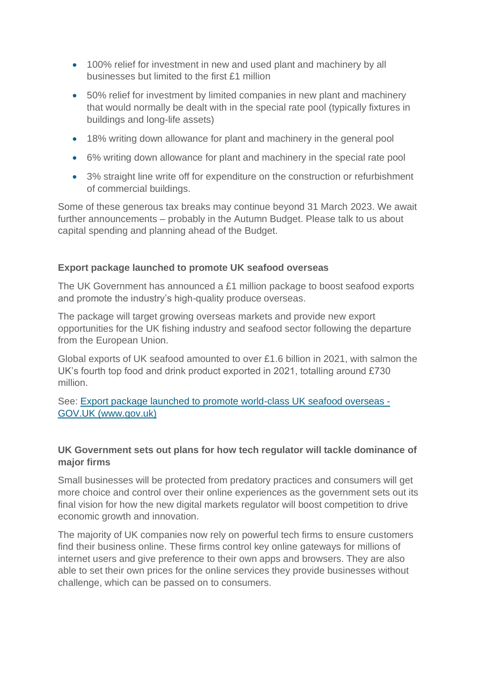- 100% relief for investment in new and used plant and machinery by all businesses but limited to the first £1 million
- 50% relief for investment by limited companies in new plant and machinery that would normally be dealt with in the special rate pool (typically fixtures in buildings and long-life assets)
- 18% writing down allowance for plant and machinery in the general pool
- 6% writing down allowance for plant and machinery in the special rate pool
- 3% straight line write off for expenditure on the construction or refurbishment of commercial buildings.

Some of these generous tax breaks may continue beyond 31 March 2023. We await further announcements – probably in the Autumn Budget. Please talk to us about capital spending and planning ahead of the Budget.

## **Export package launched to promote UK seafood overseas**

The UK Government has announced a £1 million package to boost seafood exports and promote the industry's high-quality produce overseas.

The package will target growing overseas markets and provide new export opportunities for the UK fishing industry and seafood sector following the departure from the European Union.

Global exports of UK seafood amounted to over £1.6 billion in 2021, with salmon the UK's fourth top food and drink product exported in 2021, totalling around £730 million.

See: [Export package launched to promote world-class UK seafood overseas -](https://www.gov.uk/government/news/export-package-launched-to-promote-world-class-uk-seafood-overseas) [GOV.UK \(www.gov.uk\)](https://www.gov.uk/government/news/export-package-launched-to-promote-world-class-uk-seafood-overseas)

## **UK Government sets out plans for how tech regulator will tackle dominance of major firms**

Small businesses will be protected from predatory practices and consumers will get more choice and control over their online experiences as the government sets out its final vision for how the new digital markets regulator will boost competition to drive economic growth and innovation.

The majority of UK companies now rely on powerful tech firms to ensure customers find their business online. These firms control key online gateways for millions of internet users and give preference to their own apps and browsers. They are also able to set their own prices for the online services they provide businesses without challenge, which can be passed on to consumers.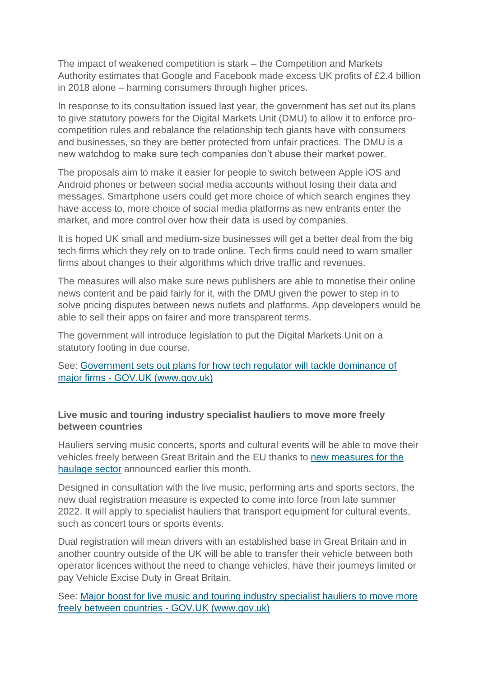The impact of weakened competition is stark – the Competition and Markets Authority estimates that Google and Facebook made excess UK profits of £2.4 billion in 2018 alone – harming consumers through higher prices.

In response to its consultation issued last year, the government has set out its plans to give statutory powers for the Digital Markets Unit (DMU) to allow it to enforce procompetition rules and rebalance the relationship tech giants have with consumers and businesses, so they are better protected from unfair practices. The DMU is a new watchdog to make sure tech companies don't abuse their market power.

The proposals aim to make it easier for people to switch between Apple iOS and Android phones or between social media accounts without losing their data and messages. Smartphone users could get more choice of which search engines they have access to, more choice of social media platforms as new entrants enter the market, and more control over how their data is used by companies.

It is hoped UK small and medium-size businesses will get a better deal from the big tech firms which they rely on to trade online. Tech firms could need to warn smaller firms about changes to their algorithms which drive traffic and revenues.

The measures will also make sure news publishers are able to monetise their online news content and be paid fairly for it, with the DMU given the power to step in to solve pricing disputes between news outlets and platforms. App developers would be able to sell their apps on fairer and more transparent terms.

The government will introduce legislation to put the Digital Markets Unit on a statutory footing in due course.

See: [Government sets out plans for how tech regulator will tackle dominance of](https://www.gov.uk/government/news/government-sets-out-plans-for-how-tech-regulator-will-tackle-dominance-of-major-firms)  major firms - [GOV.UK \(www.gov.uk\)](https://www.gov.uk/government/news/government-sets-out-plans-for-how-tech-regulator-will-tackle-dominance-of-major-firms)

## **Live music and touring industry specialist hauliers to move more freely between countries**

Hauliers serving music concerts, sports and cultural events will be able to move their vehicles freely between Great Britain and the EU thanks to [new measures for the](https://www.gov.uk/government/consultations/cultural-events-road-haulage-temporary-transfer-of-vehicles-between-operator-licences-for-cross-border-tours)  [haulage sector](https://www.gov.uk/government/consultations/cultural-events-road-haulage-temporary-transfer-of-vehicles-between-operator-licences-for-cross-border-tours) announced earlier this month.

Designed in consultation with the live music, performing arts and sports sectors, the new dual registration measure is expected to come into force from late summer 2022. It will apply to specialist hauliers that transport equipment for cultural events, such as concert tours or sports events.

Dual registration will mean drivers with an established base in Great Britain and in another country outside of the UK will be able to transfer their vehicle between both operator licences without the need to change vehicles, have their journeys limited or pay Vehicle Excise Duty in Great Britain. 

See: [Major boost for live music and touring industry specialist hauliers to move more](https://www.gov.uk/government/news/major-boost-for-live-music-and-touring-industry-specialist-hauliers-to-move-more-freely-between-countries)  [freely between countries -](https://www.gov.uk/government/news/major-boost-for-live-music-and-touring-industry-specialist-hauliers-to-move-more-freely-between-countries) GOV.UK (www.gov.uk)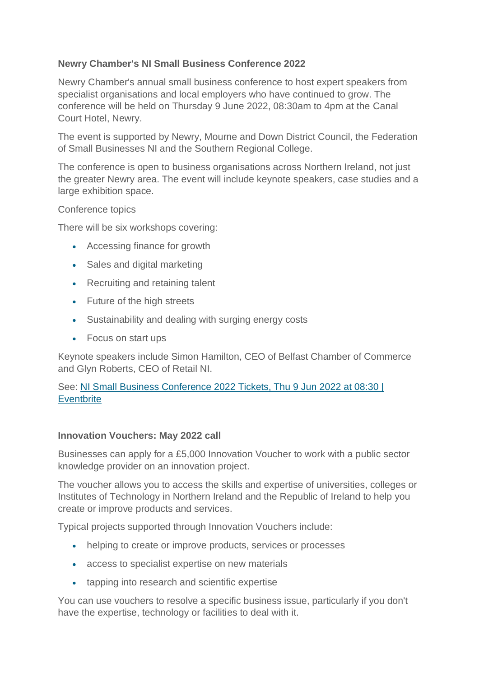# **Newry Chamber's NI Small Business Conference 2022**

Newry Chamber's annual small business conference to host expert speakers from specialist organisations and local employers who have continued to grow. The conference will be held on Thursday 9 June 2022, 08:30am to 4pm at the Canal Court Hotel, Newry.

The event is supported by Newry, Mourne and Down District Council, the Federation of Small Businesses NI and the Southern Regional College.

The conference is open to business organisations across Northern Ireland, not just the greater Newry area. The event will include keynote speakers, case studies and a large exhibition space.

#### Conference topics

There will be six workshops covering:

- Accessing finance for growth
- Sales and digital marketing
- Recruiting and retaining talent
- Future of the high streets
- Sustainability and dealing with surging energy costs
- Focus on start ups

Keynote speakers include Simon Hamilton, CEO of Belfast Chamber of Commerce and Glyn Roberts, CEO of Retail NI.

## See: [NI Small Business Conference 2022 Tickets, Thu 9 Jun 2022 at 08:30 |](https://www.eventbrite.co.uk/e/ni-small-business-conference-2022-tickets-320860852447)  **[Eventbrite](https://www.eventbrite.co.uk/e/ni-small-business-conference-2022-tickets-320860852447)**

#### **Innovation Vouchers: May 2022 call**

Businesses can apply for a £5,000 Innovation Voucher to work with a public sector knowledge provider on an innovation project.

The voucher allows you to access the skills and expertise of universities, colleges or Institutes of Technology in Northern Ireland and the Republic of Ireland to help you create or improve products and services.

Typical projects supported through Innovation Vouchers include:

- helping to create or improve products, services or processes
- access to specialist expertise on new materials
- tapping into research and scientific expertise

You can use vouchers to resolve a specific business issue, particularly if you don't have the expertise, technology or facilities to deal with it.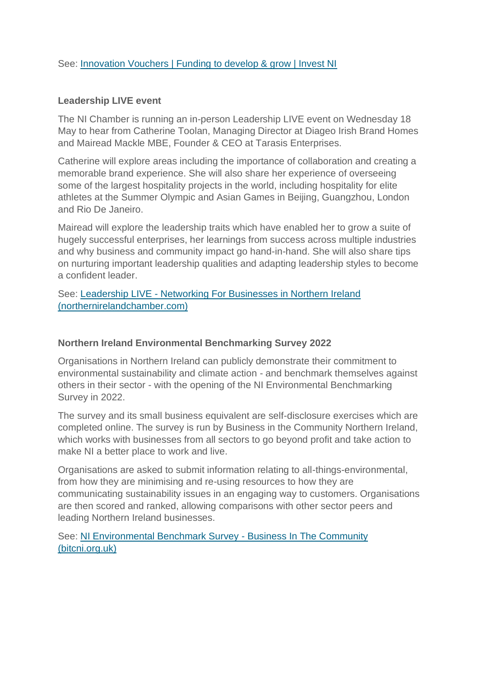#### See: [Innovation Vouchers | Funding to develop & grow | Invest NI](https://www.investni.com/support-for-business/innovation-vouchers)

#### **Leadership LIVE event**

The NI Chamber is running an in-person Leadership LIVE event on Wednesday 18 May to hear from Catherine Toolan, Managing Director at Diageo Irish Brand Homes and Mairead Mackle MBE, Founder & CEO at Tarasis Enterprises.

Catherine will explore areas including the importance of collaboration and creating a memorable brand experience. She will also share her experience of overseeing some of the largest hospitality projects in the world, including hospitality for elite athletes at the Summer Olympic and Asian Games in Beijing, Guangzhou, London and Rio De Janeiro.

Mairead will explore the leadership traits which have enabled her to grow a suite of hugely successful enterprises, her learnings from success across multiple industries and why business and community impact go hand-in-hand. She will also share tips on nurturing important leadership qualities and adapting leadership styles to become a confident leader.

See: Leadership LIVE - [Networking For Businesses in Northern Ireland](https://www.northernirelandchamber.com/event/leadership-live/)  [\(northernirelandchamber.com\)](https://www.northernirelandchamber.com/event/leadership-live/)

#### **Northern Ireland Environmental Benchmarking Survey 2022**

Organisations in Northern Ireland can publicly demonstrate their commitment to environmental sustainability and climate action - and benchmark themselves against others in their sector - with the opening of the NI Environmental Benchmarking Survey in 2022.

The survey and its small business equivalent are self-disclosure exercises which are completed online. The survey is run by Business in the Community Northern Ireland, which works with businesses from all sectors to go beyond profit and take action to make NI a better place to work and live.

Organisations are asked to submit information relating to all-things-environmental, from how they are minimising and re-using resources to how they are communicating sustainability issues in an engaging way to customers. Organisations are then scored and ranked, allowing comparisons with other sector peers and leading Northern Ireland businesses.

See: [NI Environmental Benchmark Survey -](https://www.bitcni.org.uk/ni-environmental-bench-mark-survey/) Business In The Community [\(bitcni.org.uk\)](https://www.bitcni.org.uk/ni-environmental-bench-mark-survey/)